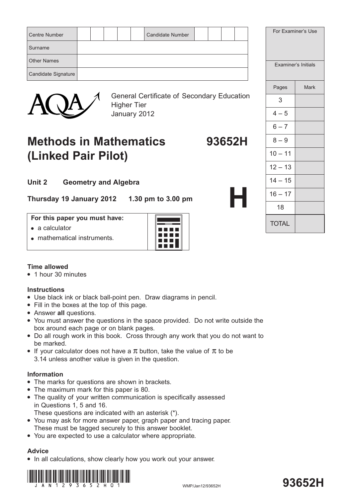| Surname<br><b>Other Names</b><br>Examiner's Initials<br>Candidate Signature | <b>Centre Number</b> |  |  | <b>Candidate Number</b> |  |  |  | For Examiner's Use |
|-----------------------------------------------------------------------------|----------------------|--|--|-------------------------|--|--|--|--------------------|
|                                                                             |                      |  |  |                         |  |  |  |                    |
|                                                                             |                      |  |  |                         |  |  |  |                    |
|                                                                             |                      |  |  |                         |  |  |  |                    |



General Certificate of Secondary Education Higher Tier January 2012

# **Methods in Mathematics 93652H (Linked Pair Pilot)**

**Unit 2 Geometry and Algebra**

**Thursday 19 January 2012 1.30 pm to 3.00 pm**

#### **For this paper you must have:**

- $\bullet$  a calculator
- mathematical instruments.



## **Time allowed**

• 1 hour 30 minutes

## **Instructions**

- Use black ink or black ball-point pen. Draw diagrams in pencil.
- Fill in the boxes at the top of this page.
- **•** Answer all questions.
- You must answer the questions in the space provided. Do not write outside the box around each page or on blank pages.
- Do all rough work in this book. Cross through any work that you do not want to be marked.
- If your calculator does not have a  $\pi$  button, take the value of  $\pi$  to be 3.14 unless another value is given in the question.

#### **Information**

- The marks for questions are shown in brackets.
- The maximum mark for this paper is 80.
- The quality of your written communication is specifically assessed in Questions 1, 5 and 16.

These questions are indicated with an asterisk (\*).

- You may ask for more answer paper, graph paper and tracing paper. These must be tagged securely to this answer booklet.
- You are expected to use a calculator where appropriate.

## **Advice**

• In all calculations, show clearly how you work out your answer.



# **93652H**

|         |                            | For Examiners Use |
|---------|----------------------------|-------------------|
|         | <b>Examiner's Initials</b> |                   |
|         | Pages                      | <b>Mark</b>       |
| ucation | 3                          |                   |
|         | $4 - 5$                    |                   |
|         | $6 - 7$                    |                   |
| 52H     | $8 - 9$                    |                   |
|         | $10 - 11$                  |                   |
|         | $12 - 13$                  |                   |
|         | $14 - 15$                  |                   |
| F       | $16 - 17$                  |                   |
|         | 18                         |                   |
|         | <b>TOTAL</b>               |                   |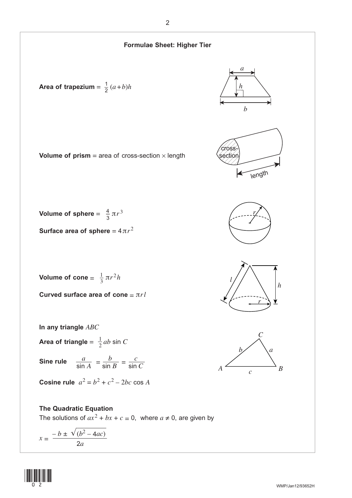

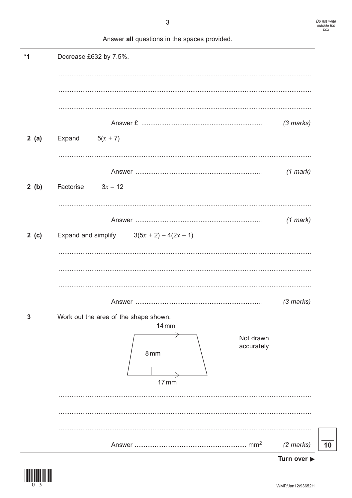|       | Answer all questions in the spaces provided. |             |
|-------|----------------------------------------------|-------------|
| $*1$  | Decrease £632 by 7.5%.                       |             |
|       |                                              |             |
|       |                                              |             |
|       |                                              |             |
|       |                                              | $(3$ marks) |
| 2(a)  | Expand<br>$5(x + 7)$                         |             |
|       |                                              |             |
|       |                                              | $(1$ mark)  |
| 2(b)  | $3x - 12$<br>Factorise                       |             |
|       |                                              |             |
|       |                                              | $(1$ mark)  |
| 2 (c) | Expand and simplify $3(5x + 2) - 4(2x - 1)$  |             |
|       |                                              |             |
|       |                                              |             |
|       |                                              |             |
|       |                                              | $(3$ marks) |
| 3     | Work out the area of the shape shown.        |             |
|       | <b>14 mm</b><br>Not drawn                    |             |
|       | accurately<br>8 <sub>mm</sub>                |             |
|       |                                              |             |
|       | $17 \, \text{mm}$                            |             |
|       |                                              |             |
|       |                                              |             |
|       |                                              |             |
|       |                                              | $(2$ marks) |



 $10$ 

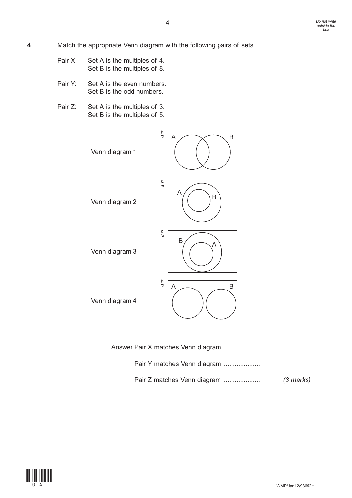**4** Match the appropriate Venn diagram with the following pairs of sets. Pair X: Set A is the multiples of 4. Set B is the multiples of 8. Pair Y: Set A is the even numbers. Set B is the odd numbers. Pair Z: Set A is the multiples of 3. Set B is the multiples of 5. Answer Pair X matches Venn diagram ..................... Pair Y matches Venn diagram ...................... Answer Pair Z matches Venn diagram ...................... *(3 marks)* A  $\curvearrowright$  B Venn diagram 1 ξ A Venn diagram 2  $\left( \begin{array}{c} \cdots \\ \end{array} \right)$  B ξ  $\overline{B}/\sqrt{A}$ Venn diagram 3 ξ  $A \sim \overline{B}$ Venn diagram 4 ξ

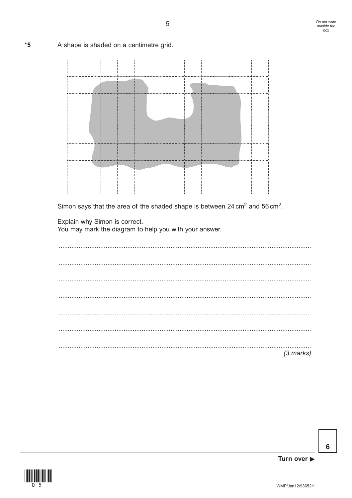

 $6\phantom{1}6$ 

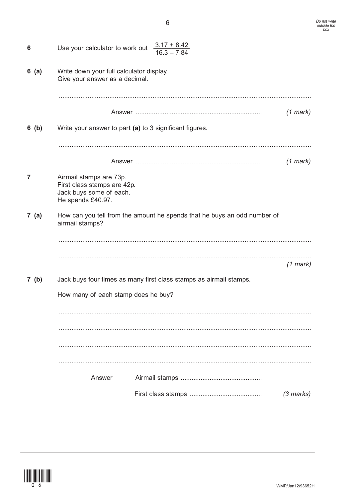| 6       | Use your calculator to work out $\frac{3.17 + 8.42}{16.3 - 7.84}$                                      |                                                                          |             |
|---------|--------------------------------------------------------------------------------------------------------|--------------------------------------------------------------------------|-------------|
| 6(a)    | Write down your full calculator display.<br>Give your answer as a decimal.                             |                                                                          |             |
|         |                                                                                                        |                                                                          | $(1$ mark)  |
| $6$ (b) | Write your answer to part (a) to 3 significant figures.                                                |                                                                          |             |
|         |                                                                                                        |                                                                          |             |
| 7       | Airmail stamps are 73p.<br>First class stamps are 42p.<br>Jack buys some of each.<br>He spends £40.97. |                                                                          | $(1$ mark)  |
| 7(a)    | airmail stamps?                                                                                        | How can you tell from the amount he spends that he buys an odd number of |             |
|         |                                                                                                        |                                                                          | $(1$ mark)  |
| 7(b)    |                                                                                                        | Jack buys four times as many first class stamps as airmail stamps.       |             |
|         | How many of each stamp does he buy?                                                                    |                                                                          |             |
|         |                                                                                                        |                                                                          |             |
|         |                                                                                                        |                                                                          |             |
|         | Answer                                                                                                 |                                                                          |             |
|         |                                                                                                        |                                                                          | $(3$ marks) |
|         |                                                                                                        |                                                                          |             |
|         |                                                                                                        |                                                                          |             |

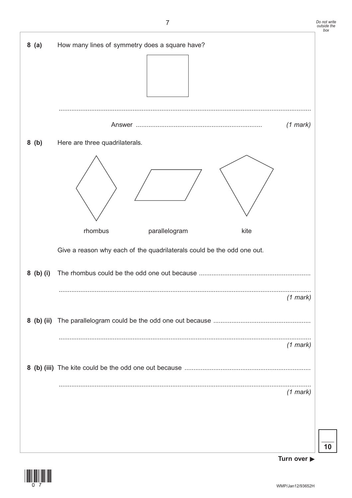







 $8(a)$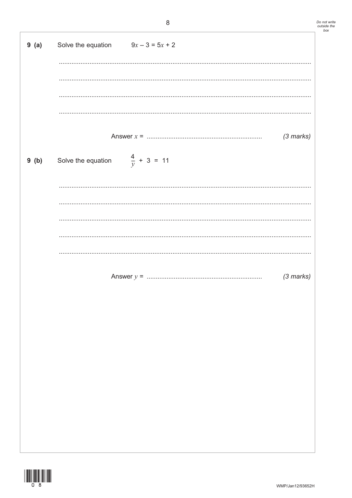| 9(a) | Solve the equation $9x - 3 = 5x + 2$      |             |
|------|-------------------------------------------|-------------|
|      |                                           |             |
|      |                                           |             |
|      |                                           |             |
|      |                                           | $(3$ marks) |
| 9(b) | Solve the equation $\frac{4}{y} + 3 = 11$ |             |
|      |                                           |             |
|      |                                           |             |
|      |                                           |             |
|      |                                           |             |
|      |                                           | $(3$ marks) |
|      |                                           |             |
|      |                                           |             |
|      |                                           |             |
|      |                                           |             |
|      |                                           |             |
|      |                                           |             |
|      |                                           |             |

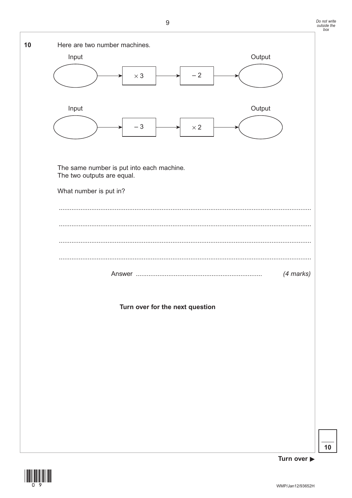| 10 | Here are two number machines.<br>Input               | Output    |
|----|------------------------------------------------------|-----------|
|    | $-2$<br>$\times$ 3                                   |           |
|    | Input<br>$-3$<br>$\times$ 2                          | Output    |
|    | The same number is put into each machine.            |           |
|    | The two outputs are equal.<br>What number is put in? |           |
|    |                                                      |           |
|    |                                                      |           |
|    |                                                      | (4 marks) |
|    | Turn over for the next question                      |           |
|    |                                                      |           |
|    |                                                      |           |
|    |                                                      |           |
|    |                                                      |           |
|    |                                                      |           |



Turn over  $\blacktriangleright$ 

 $10$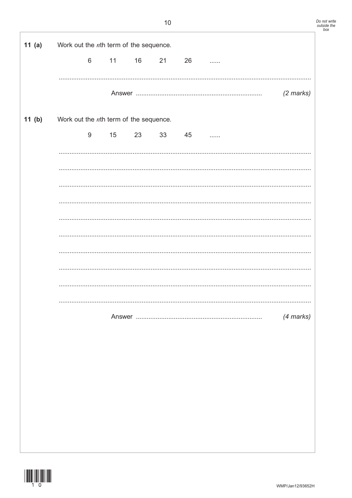| 11 $(a)$ | Work out the $n$ th term of the sequence. |                |    |          |           |           |
|----------|-------------------------------------------|----------------|----|----------|-----------|-----------|
|          |                                           | $6\phantom{1}$ | 11 | 16 21 26 | 1.1.1.1.1 |           |
|          |                                           |                |    |          |           |           |
|          |                                           |                |    |          |           | (2 marks) |
| 11(b)    | Work out the nth term of the sequence.    |                |    |          |           |           |
|          |                                           | 9              | 15 | 23 33 45 |           |           |
|          |                                           |                |    |          |           |           |
|          |                                           |                |    |          |           |           |
|          |                                           |                |    |          |           |           |
|          |                                           |                |    |          |           |           |
|          |                                           |                |    |          |           |           |
|          |                                           |                |    |          |           |           |
|          |                                           |                |    |          |           |           |
|          |                                           |                |    |          |           |           |
|          |                                           |                |    |          |           |           |
|          |                                           |                |    |          |           | (4 marks) |
|          |                                           |                |    |          |           |           |
|          |                                           |                |    |          |           |           |
|          |                                           |                |    |          |           |           |
|          |                                           |                |    |          |           |           |
|          |                                           |                |    |          |           |           |
|          |                                           |                |    |          |           |           |
|          |                                           |                |    |          |           |           |
|          |                                           |                |    |          |           |           |

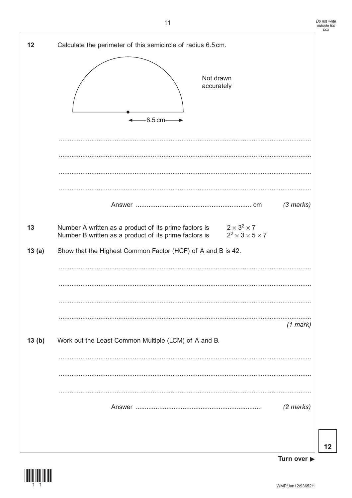



Turn over ▶

 $12$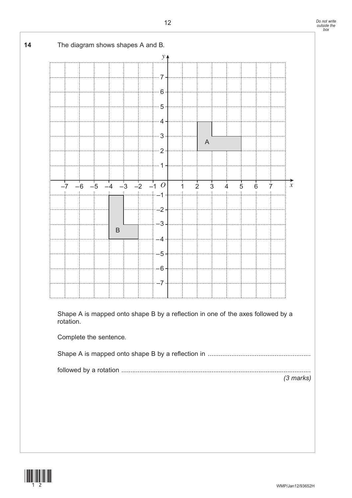

Complete the sentence.

|--|--|--|

 followed by a rotation ......................................................................................................... *(3 marks)*

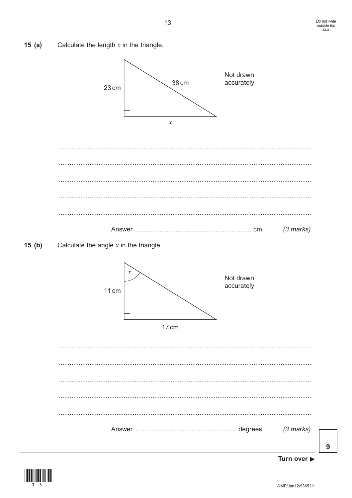

Turn over ▶

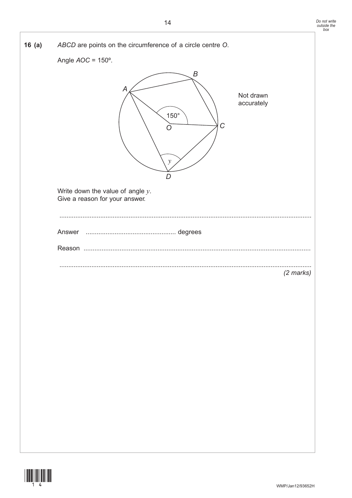| 16(a) | ABCD are points on the circumference of a circle centre O.<br>Angle $AOC = 150^\circ$ .<br>B<br>A<br>Not drawn<br>accurately<br>$150^\circ$<br>$\mathcal{C}$<br>O<br>$\mathcal Y$ |
|-------|-----------------------------------------------------------------------------------------------------------------------------------------------------------------------------------|
|       | D<br>Write down the value of angle $y$ .<br>Give a reason for your answer.                                                                                                        |
|       | (2 marks)                                                                                                                                                                         |

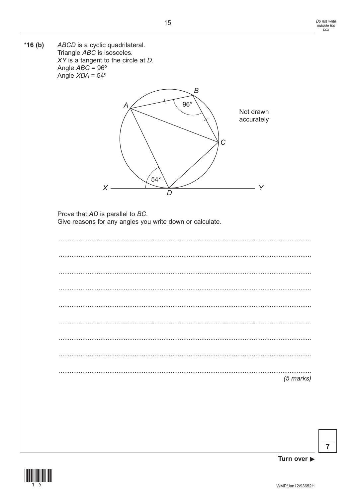

 $\overline{7}$ 



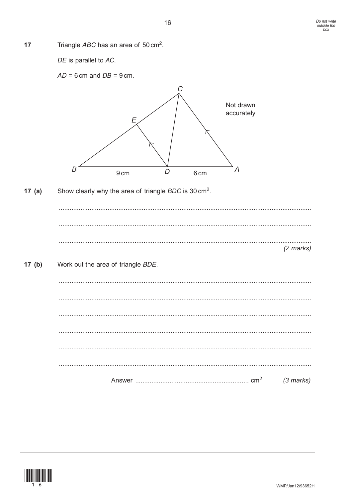Do not write<br>outside the<br>box



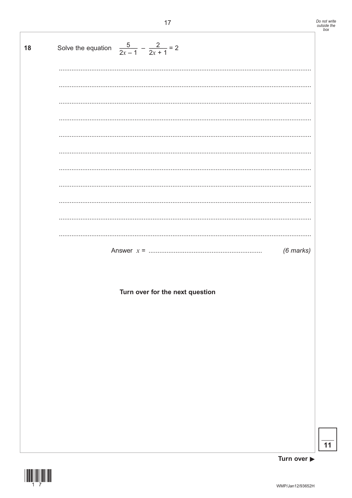| 18 | Solve the equation $\frac{5}{2x-1} - \frac{2}{2x+1} = 2$ |
|----|----------------------------------------------------------|
|    |                                                          |
|    |                                                          |
|    |                                                          |
|    |                                                          |
|    |                                                          |
|    |                                                          |
|    |                                                          |
|    |                                                          |
|    |                                                          |
|    |                                                          |
|    |                                                          |
|    | $(6$ marks)                                              |
|    |                                                          |
|    | Turn over for the next question                          |
|    |                                                          |
|    |                                                          |
|    |                                                          |
|    |                                                          |
|    |                                                          |
|    |                                                          |
|    |                                                          |
|    |                                                          |
|    |                                                          |
|    |                                                          |



 $\overline{11}$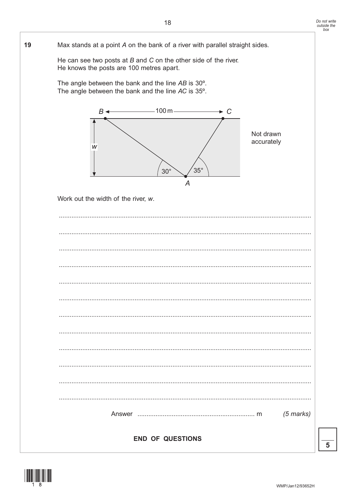

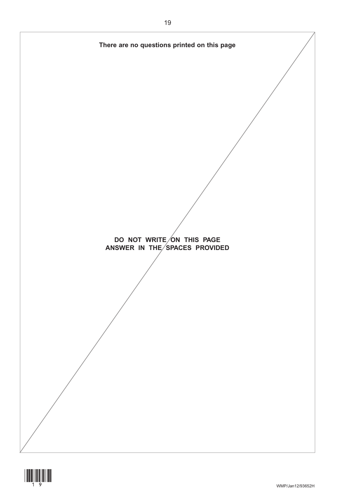